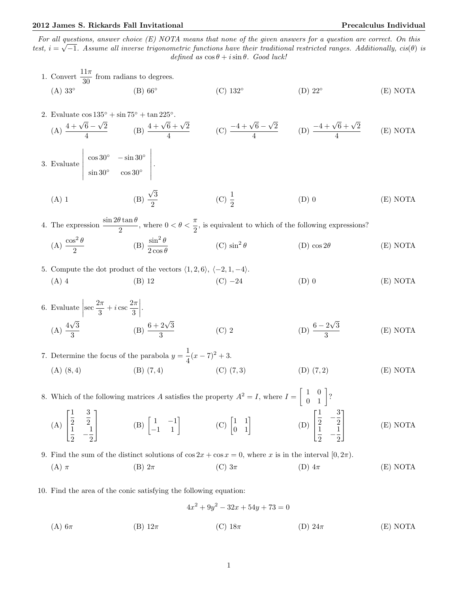# 2012 James S. Rickards Fall Invitational Precalculus Individual

For all questions, answer choice  $(E)$  NOTA means that none of the given answers for a question are correct. On this test,  $i = \sqrt{-1}$ . Assume all inverse trigonometric functions have their traditional restricted ranges. Additionally,  $cis(\theta)$  is defined as  $\cos \theta + i \sin \theta$ . Good luck!

1. Convert 
$$
\frac{11\pi}{30}
$$
 from radians to degrees.  
\n(A) 33° (B) 66° (C) 132° (D) 22° (E) NOTA  
\n2. Evaluate  $\cos 135^\circ + \sin 75^\circ + \tan 225^\circ$ .  
\n(A)  $\frac{4 + \sqrt{6} - \sqrt{2}}{4}$  (B)  $\frac{4 + \sqrt{6} + \sqrt{2}}{4}$  (C)  $\frac{-4 + \sqrt{6} - \sqrt{2}}{4}$  (D)  $\frac{-4 + \sqrt{6} + \sqrt{2}}{4}$  (E) NOTA  
\n3. Evaluate  $\begin{vmatrix} \cos 30^\circ & -\sin 30^\circ \\ \sin 30^\circ & \cos 30^\circ \end{vmatrix}$ .  
\n(A) 1 (B)  $\frac{\sqrt{3}}{2}$  (C)  $\frac{1}{2}$  (D) 0 (E) NOTA  
\n4. The expression  $\frac{\sin 2\theta \tan \theta}{2}$ , where  $0 < \theta < \frac{\pi}{2}$ , is equivalent to which of the following expressions?  
\n(A)  $\frac{\cos^2 \theta}{2}$  (B)  $\frac{\sin^2 \theta}{2 \cos \theta}$  (C)  $\sin^2 \theta$  (D)  $\cos 2\theta$  (E) NOTA  
\n5. Compute the dot product of the vectors (1, 2, 6), (-2, 1, -4).  
\n(A) 4 (B) 12 (C) -24 (D) 0 (E) NOTA  
\n6. Evaluate  $\left| \sec \frac{2\pi}{3} + i \csc \frac{2\pi}{3} \right|$ .  
\n(A)  $\frac{4\sqrt{3}}{3}$  (B)  $\frac{6 + 2\sqrt{3}}{3}$  (C) 2 (D)  $\frac{6 - 2\sqrt{3}}{3}$  (E) NOTA  
\n7. Determine the focus of the parabola  $y = \frac{1}{4}(x - 7)^2 + 3$ .  
\n(A) (8, 4) (B) (7, 4) (C) (7, 3) (D) (7, 2) (E) NOTA  
\n8. Which of the following matrices A satisfies the property  $A^2 = I$ , where  $I = \begin{bmatrix} 1 & 0 \\ 0 & 1 \end{bmatrix}$ ?  
\n9. Find the sum of the distinct solutions of <

10. Find the area of the conic satisfying the following equation:

$$
4x^{2} + 9y^{2} - 32x + 54y + 73 = 0
$$
\n(A) 6 $\pi$ \n(B) 12 $\pi$ \n(C) 18 $\pi$ \n(D) 24 $\pi$ \n(E) NOTA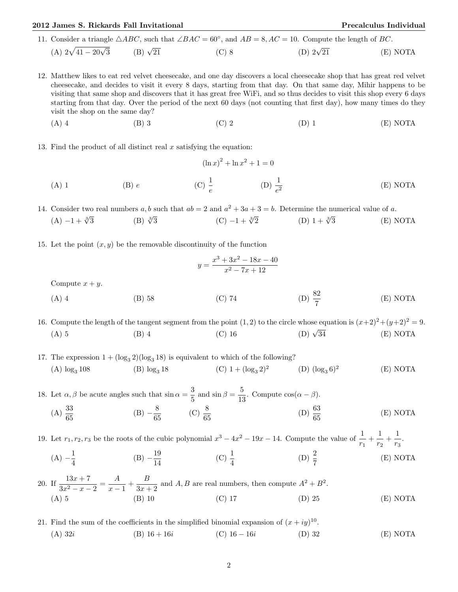## 2012 James S. Rickards Fall Invitational Precalculus Individual

11. Consider a triangle  $\triangle ABC$ , such that  $\angle BAC = 60^\circ$ , and  $AB = 8$ ,  $AC = 10$ . Compute the length of BC.

- (A)  $2\sqrt{41-20\sqrt{ }}$  $(B) \sqrt{21}$  $\overline{21}$  (C) 8 (D) 2√ (D)  $2\sqrt{21}$  (E) NOTA
- 12. Matthew likes to eat red velvet cheesecake, and one day discovers a local cheesecake shop that has great red velvet cheesecake, and decides to visit it every 8 days, starting from that day. On that same day, Mihir happens to be visiting that same shop and discovers that it has great free WiFi, and so thus decides to visit this shop every 6 days starting from that day. Over the period of the next 60 days (not counting that first day), how many times do they visit the shop on the same day?
	- (A) 4 (B) 3 (C) 2 (D) 1 (E) NOTA
- 13. Find the product of all distinct real  $x$  satisfying the equation:

(A) 1  
(B) 
$$
e
$$
  
(C)  $\frac{1}{e}$   
(D)  $\frac{1}{e^2}$   
(E) NOTA

14. Consider two real numbers a, b such that  $ab = 2$  and  $a^2 + 3a + 3 = b$ . Determine the numerical value of a.

- $(A) -1 + \sqrt[3]{3}$  $(B) \sqrt[3]{3}$  $\frac{3}{3}$  (C)  $-1 + \sqrt[3]{2}$  (D)  $1 + \sqrt[3]{2}$  $(E) NOTA$
- 15. Let the point  $(x, y)$  be the removable discontinuity of the function

$$
y = \frac{x^3 + 3x^2 - 18x - 40}{x^2 - 7x + 12}
$$

Compute  $x + y$ .

(A) 4 (B) 58 (C) 74 (D)  $\frac{82}{7}$ (D)  $\frac{82}{7}$ (E) NOTA

16. Compute the length of the tangent segment from the point  $(1, 2)$  to the circle whose equation is  $(x+2)^2+(y+2)^2=9$ . (A) 5 (B) 4 (C) 16 (D)  $\sqrt{ }$ (D)  $\sqrt{34}$  (E) NOTA

17. The expression  $1 + (\log_3 2)(\log_3 18)$  is equivalent to which of the following? (A)  $\log_3 108$  (B)  $\log_3 18$  (C)  $1 + (\log_3 2)^2$  (D)  $(\log_3 6)^2$ (E) NOTA

18. Let  $\alpha$ ,  $\beta$  be acute angles such that  $\sin \alpha = \frac{3}{5}$  $\frac{3}{5}$  and  $\sin \beta = \frac{5}{15}$  $\frac{3}{13}$ . Compute  $\cos(\alpha - \beta)$ .  $(A) \frac{33}{65}$  $(B) - \frac{8}{3}$  $\frac{8}{65}$  (C)  $\frac{8}{65}$ (D)  $\frac{63}{65}$ (E) NOTA

19. Let  $r_1, r_2, r_3$  be the roots of the cubic polynomial  $x^3 - 4x^2 - 19x - 14$ . Compute the value of  $\frac{1}{r_1} + \frac{1}{r_2}$  $\frac{1}{r_2} + \frac{1}{r_3}$  $\frac{1}{r_3}$ .  $(A) - \frac{1}{4}$  $\frac{1}{4}$  (B)  $-\frac{19}{14}$ 14 (C)  $\frac{1}{4}$ (D)  $\frac{2}{7}$ (E) NOTA

20. If  $\frac{13x+7}{3x^2-x-2} = \frac{A}{x-1}$  $\frac{A}{x-1} + \frac{B}{3x + 1}$  $\frac{B}{3x+2}$  and A, B are real numbers, then compute  $A^2 + B^2$ . (A) 5 (B) 10 (C) 17 (D) 25 (E) NOTA

21. Find the sum of the coefficients in the simplified binomial expansion of  $(x+iy)^{10}$ . (A)  $32i$  (B)  $16 + 16i$  (C)  $16 - 16i$  (D) 32 (E) NOTA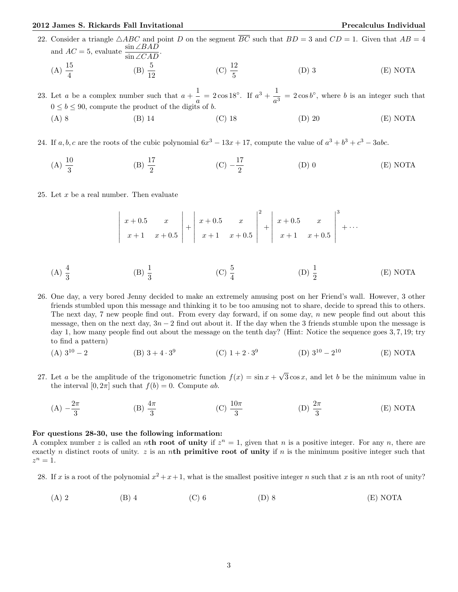### 2012 James S. Rickards Fall Invitational Precalculus Individual

22. Consider a triangle  $\triangle ABC$  and point D on the segment  $\overline{BC}$  such that  $BD = 3$  and  $CD = 1$ . Given that  $AB = 4$ and  $AC = 5$ , evaluate  $\frac{\sin \angle BAD}{\sin \angle CAD}$ . (A)  $\frac{15}{4}$ (B)  $\frac{5}{12}$ (C)  $\frac{12}{5}$ (D) 3 (E) NOTA

23. Let *a* be a complex number such that  $a + \frac{1}{a}$  $\frac{1}{a} = 2 \cos 18^\circ$ . If  $a^3 + \frac{1}{a^3}$  $\frac{1}{a^3} = 2 \cos b^\circ$ , where b is an integer such that  $0 \leq b \leq 90$ , compute the product of the digits of b.

(A) 8 (B) 14 (C) 18 (D) 20 (E) NOTA

24. If  $a, b, c$  are the roots of the cubic polynomial  $6x^3 - 13x + 17$ , compute the value of  $a^3 + b^3 + c^3 - 3abc$ .

(A)  $\frac{10}{3}$ (B)  $\frac{17}{2}$  $(C) -\frac{17}{2}$ 2 (D) 0 (E) NOTA

25. Let x be a real number. Then evaluate

$$
\begin{vmatrix} x+0.5 & x \ x+1 & x+0.5 \end{vmatrix} + \begin{vmatrix} x+0.5 & x \ x+1 & x+0.5 \end{vmatrix}^{2} + \begin{vmatrix} x+0.5 & x \ x+1 & x+0.5 \end{vmatrix}^{3} + \cdots
$$

- (A)  $\frac{4}{3}$ (B)  $\frac{1}{3}$ (C)  $\frac{5}{4}$ (D)  $\frac{1}{2}$ (E) NOTA
- 26. One day, a very bored Jenny decided to make an extremely amusing post on her Friend's wall. However, 3 other friends stumbled upon this message and thinking it to be too amusing not to share, decide to spread this to others. The next day, 7 new people find out. From every day forward, if on some day, n new people find out about this message, then on the next day,  $3n-2$  find out about it. If the day when the 3 friends stumble upon the message is day 1, how many people find out about the message on the tenth day? (Hint: Notice the sequence goes 3, 7, 19; try to find a pattern)
	- (A)  $3^{10} 2$  (B)  $3 + 4 \cdot 3^9$ (C)  $1 + 2 \cdot 3^9$  (D)  $3^{10} - 2$  $(E) NOTA$
- 27. Let a be the amplitude of the trigonometric function  $f(x) = \sin x +$ √  $3\cos x$ , and let b be the minimum value in the interval  $[0, 2\pi]$  such that  $f(b) = 0$ . Compute ab.
	- $(A) -\frac{2\pi}{2}$ 3 (B)  $\frac{4\pi}{3}$ (C)  $\frac{10\pi}{3}$ (D)  $\frac{2\pi}{3}$ (E) NOTA

### For questions 28-30, use the following information:

A complex number z is called an nth root of unity if  $z^n = 1$ , given that n is a positive integer. For any n, there are exactly n distinct roots of unity. z is an nth primitive root of unity if n is the minimum positive integer such that  $z^n=1$ .

28. If x is a root of the polynomial  $x^2 + x + 1$ , what is the smallest positive integer n such that x is an nth root of unity?

(A) 2 (B) 4 (C) 6 (D) 8 (E) NOTA